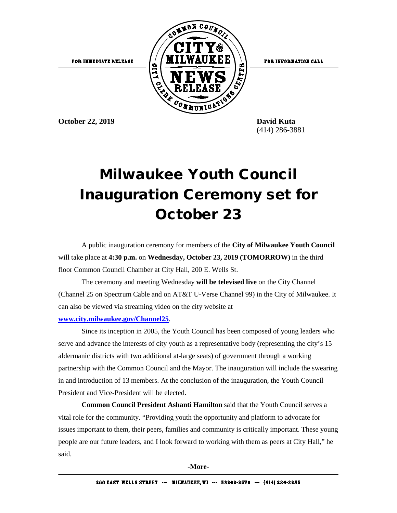

(414) 286-3881

## Milwaukee Youth Council Inauguration Ceremony set for October 23

A public inauguration ceremony for members of the **City of Milwaukee Youth Council** will take place at **4:30 p.m.** on **Wednesday, October 23, 2019 (TOMORROW)** in the third floor Common Council Chamber at City Hall, 200 E. Wells St.

The ceremony and meeting Wednesday **will be televised live** on the City Channel (Channel 25 on Spectrum Cable and on AT&T U-Verse Channel 99) in the City of Milwaukee. It can also be viewed via streaming video on the city website at

## **[www.city.milwaukee.gov/Channel25](http://www.city.milwaukee.gov/Channel25)**.

Since its inception in 2005, the Youth Council has been composed of young leaders who serve and advance the interests of city youth as a representative body (representing the city's 15 aldermanic districts with two additional at-large seats) of government through a working partnership with the Common Council and the Mayor. The inauguration will include the swearing in and introduction of 13 members. At the conclusion of the inauguration, the Youth Council President and Vice-President will be elected.

**Common Council President Ashanti Hamilton** said that the Youth Council serves a vital role for the community. "Providing youth the opportunity and platform to advocate for issues important to them, their peers, families and community is critically important. These young people are our future leaders, and I look forward to working with them as peers at City Hall," he said.